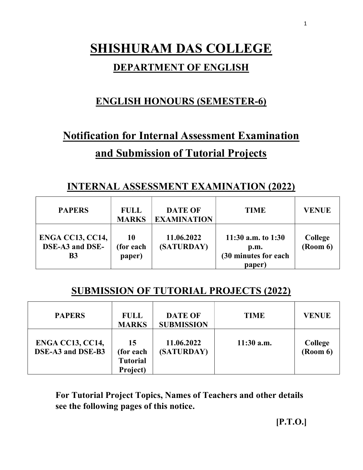# SHISHURAM DAS COLLEGE

## DEPARTMENT OF ENGLISH

# ENGLISH HONOURS (SEMESTER-6)

# Notification for Internal Assessment Examination and Submission of Tutorial Projects

## INTERNAL ASSESSMENT EXAMINATION (2022)

| <b>PAPERS</b>                                           | <b>FULL</b><br><b>MARKS</b> | <b>DATE OF</b><br><b>EXAMINATION</b> | <b>TIME</b>                                                   | <b>VENUE</b>                             |
|---------------------------------------------------------|-----------------------------|--------------------------------------|---------------------------------------------------------------|------------------------------------------|
| <b>ENGA CC13, CC14,</b><br>DSE-A3 and DSE-<br><b>B3</b> | 10<br>(for each<br>paper)   | 11.06.2022<br>(SATURDAY)             | 11:30 a.m. to $1:30$<br>p.m.<br>(30 minutes for each<br>paper | College<br>$\left(\text{Room } 6\right)$ |

## SUBMISSION OF TUTORIAL PROJECTS (2022)

| <b>PAPERS</b>                                | <b>FULL</b><br><b>MARKS</b>                    | <b>DATE OF</b><br><b>SUBMISSION</b> | <b>TIME</b>  | <b>VENUE</b>               |
|----------------------------------------------|------------------------------------------------|-------------------------------------|--------------|----------------------------|
| <b>ENGA CC13, CC14,</b><br>DSE-A3 and DSE-B3 | 15<br>(for each<br><b>Tutorial</b><br>Project) | 11.06.2022<br>(SATURDAY)            | $11:30$ a.m. | <b>College</b><br>(Room 6) |

For Tutorial Project Topics, Names of Teachers and other details see the following pages of this notice.

1

[P.T.O.]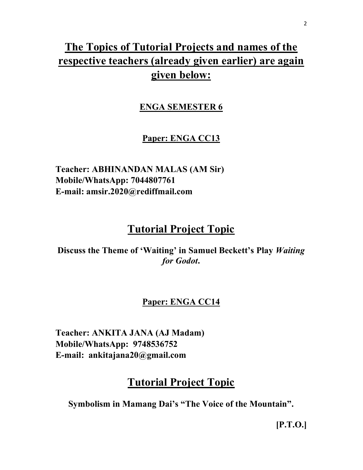# The Topics of Tutorial Projects and names of the respective teachers (already given earlier) are again given below:

### ENGA SEMESTER 6

### Paper: ENGA CC13

Teacher: ABHINANDAN MALAS (AM Sir) Mobile/WhatsApp: 7044807761 E-mail: amsir.2020@rediffmail.com

# Tutorial Project Topic

Discuss the Theme of 'Waiting' in Samuel Beckett's Play Waiting for Godot.

#### Paper: ENGA CC14

Teacher: ANKITA JANA (AJ Madam) Mobile/WhatsApp: 9748536752 E-mail: ankitajana20@gmail.com

# Tutorial Project Topic

Symbolism in Mamang Dai's "The Voice of the Mountain".

2

[P.T.O.]